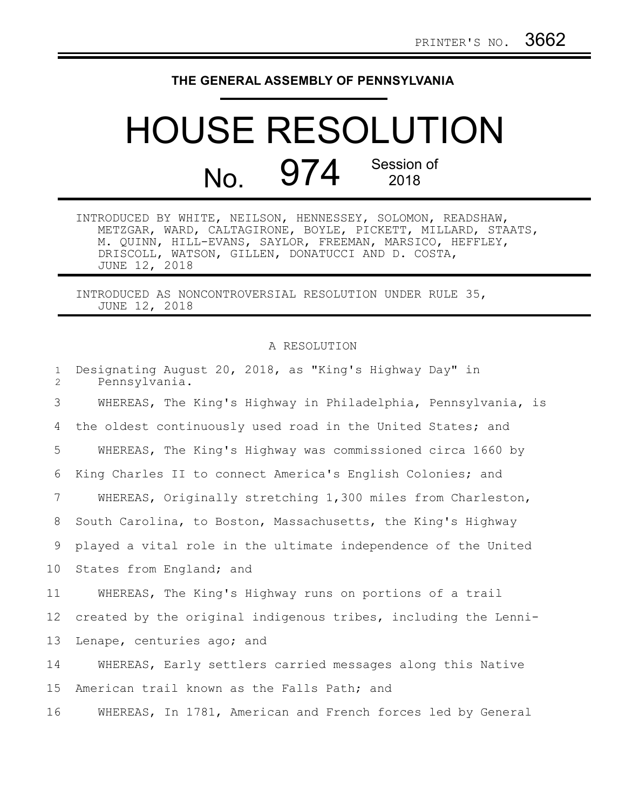## **THE GENERAL ASSEMBLY OF PENNSYLVANIA**

## HOUSE RESOLUTION No. 974 Session of 2018

INTRODUCED BY WHITE, NEILSON, HENNESSEY, SOLOMON, READSHAW, METZGAR, WARD, CALTAGIRONE, BOYLE, PICKETT, MILLARD, STAATS, M. QUINN, HILL-EVANS, SAYLOR, FREEMAN, MARSICO, HEFFLEY, DRISCOLL, WATSON, GILLEN, DONATUCCI AND D. COSTA, JUNE 12, 2018

INTRODUCED AS NONCONTROVERSIAL RESOLUTION UNDER RULE 35, JUNE 12, 2018

## A RESOLUTION

| $\mathbf{1}$<br>$\overline{2}$ | Designating August 20, 2018, as "King's Highway Day" in<br>Pennsylvania. |
|--------------------------------|--------------------------------------------------------------------------|
| 3                              | WHEREAS, The King's Highway in Philadelphia, Pennsylvania, is            |
| 4                              | the oldest continuously used road in the United States; and              |
| 5                              | WHEREAS, The King's Highway was commissioned circa 1660 by               |
| 6                              | King Charles II to connect America's English Colonies; and               |
| 7                              | WHEREAS, Originally stretching 1,300 miles from Charleston,              |
| 8                              | South Carolina, to Boston, Massachusetts, the King's Highway             |
| 9                              | played a vital role in the ultimate independence of the United           |
| 10 <sub>o</sub>                | States from England; and                                                 |
| 11                             | WHEREAS, The King's Highway runs on portions of a trail                  |
| 12                             | created by the original indigenous tribes, including the Lenni-          |
| 13                             | Lenape, centuries ago; and                                               |
| 14                             | WHEREAS, Early settlers carried messages along this Native               |
| 15                             | American trail known as the Falls Path; and                              |
| 16                             | WHEREAS, In 1781, American and French forces led by General              |